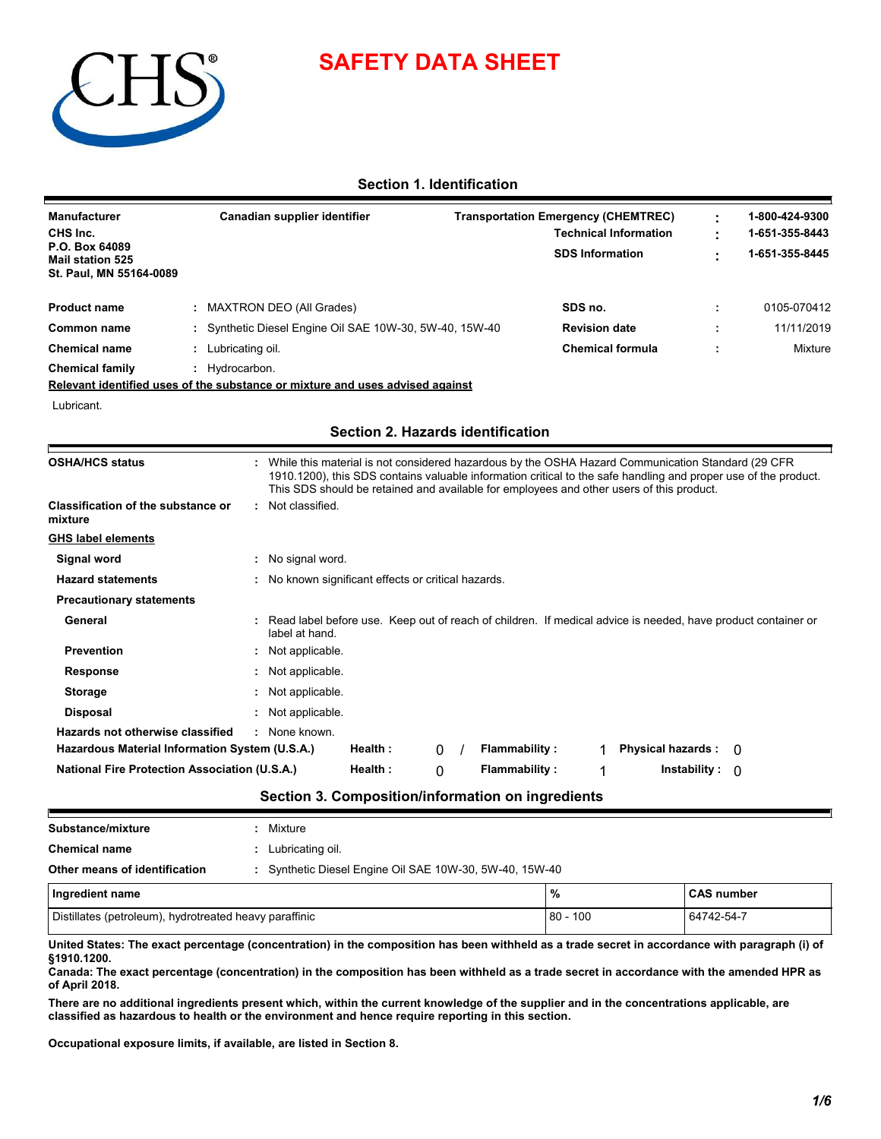

# **SAFETY DATA SHEET**

# **Section 1. Identification**

| <b>Manufacturer</b>                                                  | Canadian supplier identifier                            | <b>Transportation Emergency (CHEMTREC)</b> | 1-800-424-9300 |
|----------------------------------------------------------------------|---------------------------------------------------------|--------------------------------------------|----------------|
| CHS Inc.                                                             |                                                         | <b>Technical Information</b>               | 1-651-355-8443 |
| P.O. Box 64089<br><b>Mail station 525</b><br>St. Paul, MN 55164-0089 |                                                         | <b>SDS Information</b>                     | 1-651-355-8445 |
| <b>Product name</b>                                                  | <b>MAXTRON DEO (All Grades)</b>                         | SDS no.                                    | 0105-070412    |
| Common name                                                          | : Synthetic Diesel Engine Oil SAE 10W-30, 5W-40, 15W-40 | <b>Revision date</b>                       | 11/11/2019     |
| <b>Chemical name</b>                                                 | Lubricating oil.                                        | <b>Chemical formula</b>                    | Mixture        |
| <b>Chemical family</b>                                               | Hvdrocarbon.                                            |                                            |                |
|                                                                      |                                                         |                                            |                |

**Relevant identified uses of the substance or mixture and uses advised against**

Lubricant.

# **Section 2. Hazards identification**

| <b>OSHA/HCS status</b>                                                             |                                                     |         |   |                      | : While this material is not considered hazardous by the OSHA Hazard Communication Standard (29 CFR<br>1910.1200), this SDS contains valuable information critical to the safe handling and proper use of the product.<br>This SDS should be retained and available for employees and other users of this product. |          |
|------------------------------------------------------------------------------------|-----------------------------------------------------|---------|---|----------------------|--------------------------------------------------------------------------------------------------------------------------------------------------------------------------------------------------------------------------------------------------------------------------------------------------------------------|----------|
| Classification of the substance or<br>mixture                                      | : Not classified.                                   |         |   |                      |                                                                                                                                                                                                                                                                                                                    |          |
| <b>GHS label elements</b>                                                          |                                                     |         |   |                      |                                                                                                                                                                                                                                                                                                                    |          |
| Signal word                                                                        | : No signal word.                                   |         |   |                      |                                                                                                                                                                                                                                                                                                                    |          |
| <b>Hazard statements</b>                                                           | : No known significant effects or critical hazards. |         |   |                      |                                                                                                                                                                                                                                                                                                                    |          |
| <b>Precautionary statements</b>                                                    |                                                     |         |   |                      |                                                                                                                                                                                                                                                                                                                    |          |
| General                                                                            | label at hand.                                      |         |   |                      | : Read label before use. Keep out of reach of children. If medical advice is needed, have product container or                                                                                                                                                                                                     |          |
| <b>Prevention</b>                                                                  | : Not applicable.                                   |         |   |                      |                                                                                                                                                                                                                                                                                                                    |          |
| Response                                                                           | : Not applicable.                                   |         |   |                      |                                                                                                                                                                                                                                                                                                                    |          |
| <b>Storage</b>                                                                     | : Not applicable.                                   |         |   |                      |                                                                                                                                                                                                                                                                                                                    |          |
| <b>Disposal</b>                                                                    | : Not applicable.                                   |         |   |                      |                                                                                                                                                                                                                                                                                                                    |          |
|                                                                                    | : None known                                        |         | 0 | <b>Flammability:</b> | <b>Physical hazards:</b>                                                                                                                                                                                                                                                                                           | $\Omega$ |
| Hazards not otherwise classified<br>Hazardous Material Information System (U.S.A.) |                                                     | Health: |   |                      |                                                                                                                                                                                                                                                                                                                    |          |

| Substance/mixture                                      | Mixture                                                 |            |                   |  |  |  |
|--------------------------------------------------------|---------------------------------------------------------|------------|-------------------|--|--|--|
| <b>Chemical name</b>                                   | Lubricating oil.                                        |            |                   |  |  |  |
| Other means of identification                          | : Synthetic Diesel Engine Oil SAE 10W-30, 5W-40, 15W-40 |            |                   |  |  |  |
| Ingredient name                                        |                                                         | %          | <b>CAS number</b> |  |  |  |
| Distillates (petroleum), hydrotreated heavy paraffinic |                                                         | $80 - 100$ | 64742-54-7        |  |  |  |

|             |  |  | United States: The exact percentage (concentration) in the composition has been withheld as a trade secret in accordance with paragraph (i) of |
|-------------|--|--|------------------------------------------------------------------------------------------------------------------------------------------------|
|             |  |  |                                                                                                                                                |
| §1910.1200. |  |  |                                                                                                                                                |
|             |  |  |                                                                                                                                                |

**Canada: The exact percentage (concentration) in the composition has been withheld as a trade secret in accordance with the amended HPR as of April 2018.**

**There are no additional ingredients present which, within the current knowledge of the supplier and in the concentrations applicable, are classified as hazardous to health or the environment and hence require reporting in this section.**

**Occupational exposure limits, if available, are listed in Section 8.**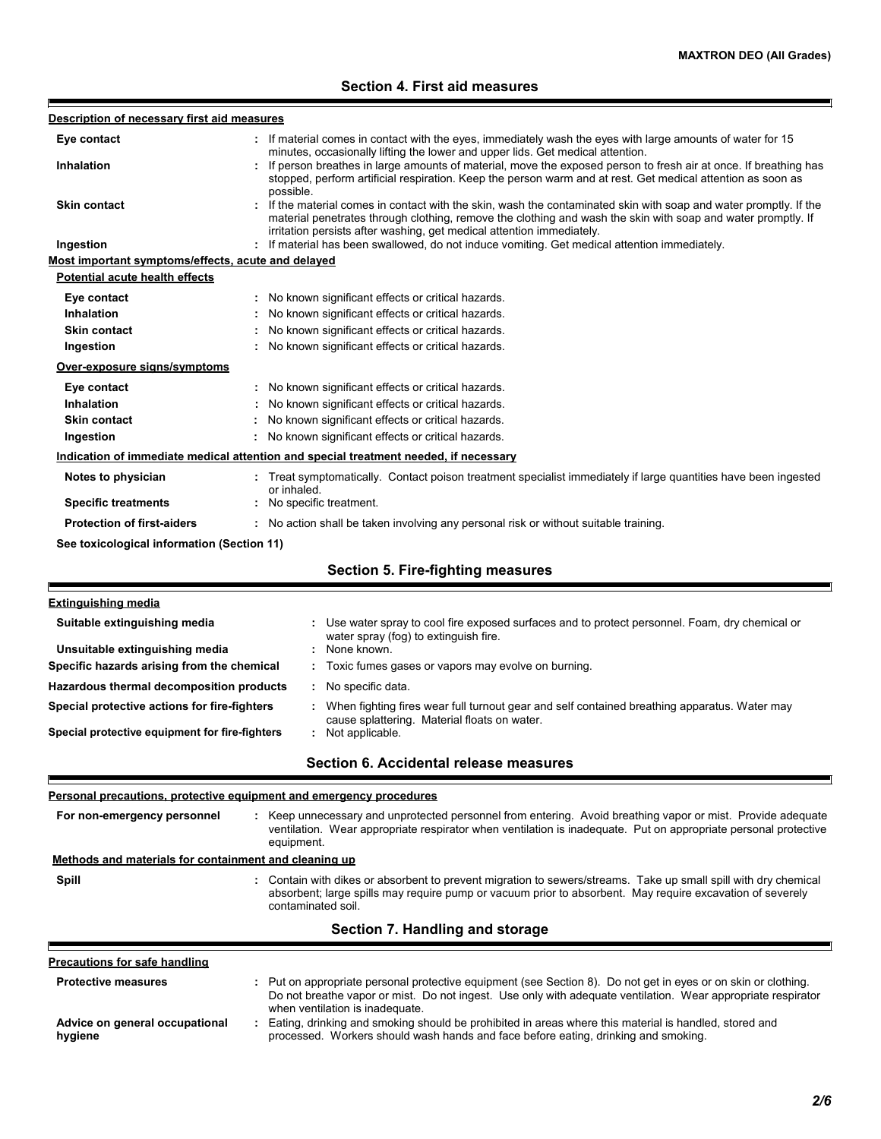# **Section 4. First aid measures**

| Description of necessary first aid measures           |                                                                                                                                                                                                                                                                                                            |
|-------------------------------------------------------|------------------------------------------------------------------------------------------------------------------------------------------------------------------------------------------------------------------------------------------------------------------------------------------------------------|
| Eye contact                                           | If material comes in contact with the eyes, immediately wash the eyes with large amounts of water for 15                                                                                                                                                                                                   |
| Inhalation                                            | minutes, occasionally lifting the lower and upper lids. Get medical attention.<br>: If person breathes in large amounts of material, move the exposed person to fresh air at once. If breathing has                                                                                                        |
|                                                       | stopped, perform artificial respiration. Keep the person warm and at rest. Get medical attention as soon as                                                                                                                                                                                                |
|                                                       | possible.                                                                                                                                                                                                                                                                                                  |
| <b>Skin contact</b>                                   | : If the material comes in contact with the skin, wash the contaminated skin with soap and water promptly. If the<br>material penetrates through clothing, remove the clothing and wash the skin with soap and water promptly. If<br>irritation persists after washing, get medical attention immediately. |
| Ingestion                                             | : If material has been swallowed, do not induce vomiting. Get medical attention immediately.                                                                                                                                                                                                               |
| Most important symptoms/effects, acute and delayed    |                                                                                                                                                                                                                                                                                                            |
| <b>Potential acute health effects</b>                 |                                                                                                                                                                                                                                                                                                            |
| Eye contact                                           | No known significant effects or critical hazards.                                                                                                                                                                                                                                                          |
| Inhalation                                            | No known significant effects or critical hazards.                                                                                                                                                                                                                                                          |
| Skin contact                                          | : No known significant effects or critical hazards.                                                                                                                                                                                                                                                        |
| Ingestion                                             | : No known significant effects or critical hazards.                                                                                                                                                                                                                                                        |
| Over-exposure signs/symptoms                          |                                                                                                                                                                                                                                                                                                            |
| Eye contact                                           | : No known significant effects or critical hazards.                                                                                                                                                                                                                                                        |
| <b>Inhalation</b>                                     | : No known significant effects or critical hazards.                                                                                                                                                                                                                                                        |
| <b>Skin contact</b>                                   | No known significant effects or critical hazards.                                                                                                                                                                                                                                                          |
| Ingestion                                             | : No known significant effects or critical hazards.                                                                                                                                                                                                                                                        |
|                                                       | Indication of immediate medical attention and special treatment needed, if necessary                                                                                                                                                                                                                       |
| Notes to physician                                    | : Treat symptomatically. Contact poison treatment specialist immediately if large quantities have been ingested                                                                                                                                                                                            |
|                                                       | or inhaled.<br>: No specific treatment.                                                                                                                                                                                                                                                                    |
| <b>Specific treatments</b>                            |                                                                                                                                                                                                                                                                                                            |
| <b>Protection of first-aiders</b>                     | : No action shall be taken involving any personal risk or without suitable training.                                                                                                                                                                                                                       |
|                                                       | <b>Section 5. Fire-fighting measures</b>                                                                                                                                                                                                                                                                   |
|                                                       |                                                                                                                                                                                                                                                                                                            |
| <b>Extinguishing media</b>                            |                                                                                                                                                                                                                                                                                                            |
| Suitable extinguishing media                          | Use water spray to cool fire exposed surfaces and to protect personnel. Foam, dry chemical or<br>water spray (fog) to extinguish fire.                                                                                                                                                                     |
| Unsuitable extinguishing media                        | None known.                                                                                                                                                                                                                                                                                                |
| Specific hazards arising from the chemical            | Toxic fumes gases or vapors may evolve on burning.                                                                                                                                                                                                                                                         |
| Hazardous thermal decomposition products              | : No specific data.                                                                                                                                                                                                                                                                                        |
| Special protective actions for fire-fighters          | When fighting fires wear full turnout gear and self contained breathing apparatus. Water may<br>cause splattering. Material floats on water.                                                                                                                                                               |
| Special protective equipment for fire-fighters        | : Not applicable.                                                                                                                                                                                                                                                                                          |
|                                                       | Section 6. Accidental release measures                                                                                                                                                                                                                                                                     |
|                                                       | Personal precautions, protective equipment and emergency procedures                                                                                                                                                                                                                                        |
| For non-emergency personnel                           | : Keep unnecessary and unprotected personnel from entering. Avoid breathing vapor or mist. Provide adequate                                                                                                                                                                                                |
|                                                       | ventilation. Wear appropriate respirator when ventilation is inadequate. Put on appropriate personal protective                                                                                                                                                                                            |
|                                                       | equipment.                                                                                                                                                                                                                                                                                                 |
| Methods and materials for containment and cleaning up |                                                                                                                                                                                                                                                                                                            |
| Spill                                                 | : Contain with dikes or absorbent to prevent migration to sewers/streams. Take up small spill with dry chemical<br>absorbent; large spills may require pump or vacuum prior to absorbent. May require excavation of severely<br>contaminated soil.                                                         |
|                                                       | Section 7. Handling and storage                                                                                                                                                                                                                                                                            |
| <b>Precautions for safe handling</b>                  |                                                                                                                                                                                                                                                                                                            |
| <b>Protective measures</b>                            | : Put on appropriate personal protective equipment (see Section 8). Do not get in eyes or on skin or clothing.                                                                                                                                                                                             |
|                                                       | Do not breathe vapor or mist. Do not ingest. Use only with adequate ventilation. Wear appropriate respirator<br>when ventilation is inadequate.                                                                                                                                                            |
| Advice on general occupational<br>hygiene             | Eating, drinking and smoking should be prohibited in areas where this material is handled, stored and<br>÷.<br>processed. Workers should wash hands and face before eating, drinking and smoking.                                                                                                          |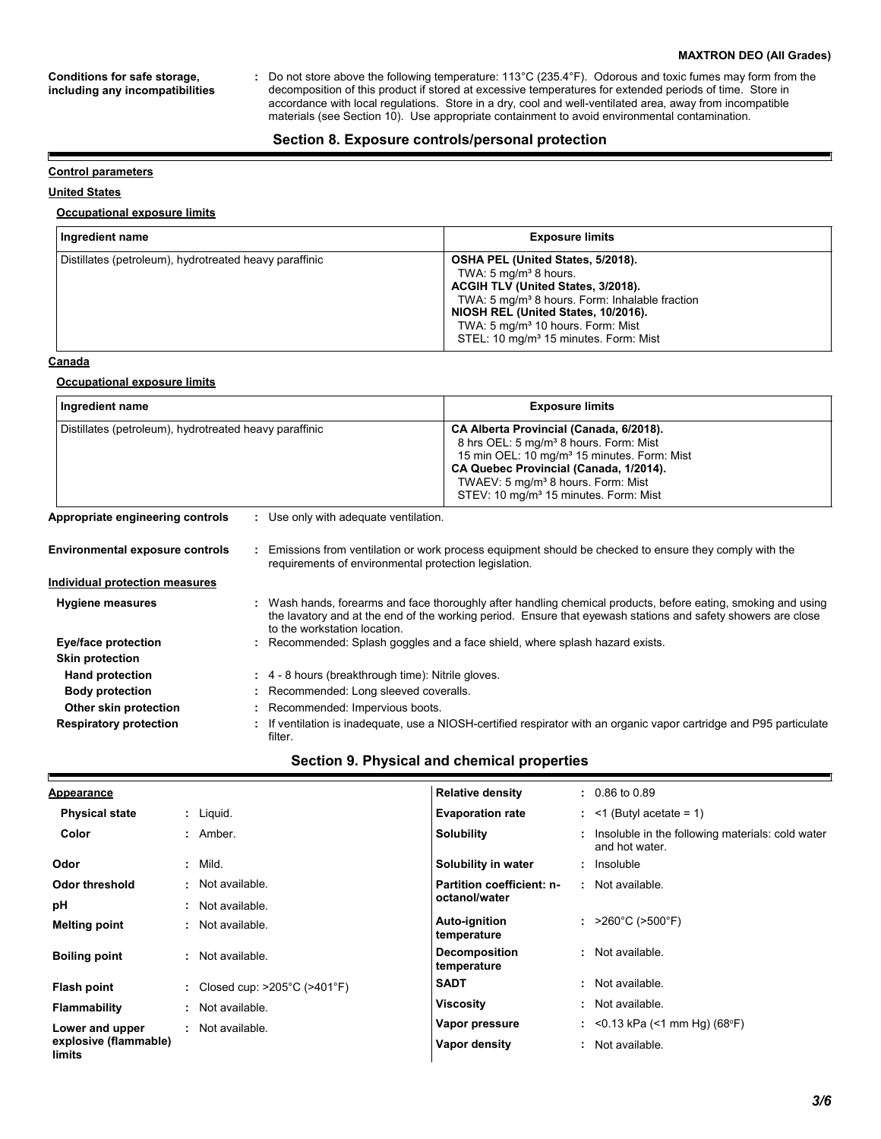#### **MAXTRON DEO (All Grades)**

**Conditions for safe storage, including any incompatibilities**

Do not store above the following temperature: 113°C (235.4°F). Odorous and toxic fumes may form from the decomposition of this product if stored at excessive temperatures for extended periods of time. Store in accordance with local regulations. Store in a dry, cool and well-ventilated area, away from incompatible materials (see Section 10). Use appropriate containment to avoid environmental contamination. **:**

### **Section 8. Exposure controls/personal protection**

### **Control parameters**

### **United States**

E

### **Occupational exposure limits**

| Ingredient name                                        | <b>Exposure limits</b>                                                                                                                                                                                                                                                                                                 |
|--------------------------------------------------------|------------------------------------------------------------------------------------------------------------------------------------------------------------------------------------------------------------------------------------------------------------------------------------------------------------------------|
| Distillates (petroleum), hydrotreated heavy paraffinic | OSHA PEL (United States, 5/2018).<br>TWA: $5 \text{ mg/m}^3$ 8 hours.<br>ACGIH TLV (United States, 3/2018).<br>TWA: 5 mg/m <sup>3</sup> 8 hours. Form: Inhalable fraction<br>NIOSH REL (United States, 10/2016).<br>TWA: 5 mg/m <sup>3</sup> 10 hours. Form: Mist<br>STEL: 10 mg/m <sup>3</sup> 15 minutes. Form: Mist |

### **Canada**

#### **Occupational exposure limits**

| Ingredient name                                        |  |                                                                              | <b>Exposure limits</b>                                                                                                                                                                                                                                                                                    |  |  |
|--------------------------------------------------------|--|------------------------------------------------------------------------------|-----------------------------------------------------------------------------------------------------------------------------------------------------------------------------------------------------------------------------------------------------------------------------------------------------------|--|--|
| Distillates (petroleum), hydrotreated heavy paraffinic |  |                                                                              | CA Alberta Provincial (Canada, 6/2018).<br>8 hrs OEL: 5 mg/m <sup>3</sup> 8 hours. Form: Mist<br>15 min OEL: 10 mg/m <sup>3</sup> 15 minutes. Form: Mist<br>CA Quebec Provincial (Canada, 1/2014).<br>TWAEV: 5 mg/m <sup>3</sup> 8 hours. Form: Mist<br>STEV: 10 mg/m <sup>3</sup> 15 minutes. Form: Mist |  |  |
| Appropriate engineering controls                       |  | : Use only with adequate ventilation.                                        |                                                                                                                                                                                                                                                                                                           |  |  |
| <b>Environmental exposure controls</b>                 |  | requirements of environmental protection legislation.                        | Emissions from ventilation or work process equipment should be checked to ensure they comply with the                                                                                                                                                                                                     |  |  |
| <b>Individual protection measures</b>                  |  |                                                                              |                                                                                                                                                                                                                                                                                                           |  |  |
| <b>Hygiene measures</b>                                |  | to the workstation location.                                                 | : Wash hands, forearms and face thoroughly after handling chemical products, before eating, smoking and using<br>the lavatory and at the end of the working period. Ensure that eyewash stations and safety showers are close                                                                             |  |  |
| <b>Eye/face protection</b>                             |  | : Recommended: Splash goggles and a face shield, where splash hazard exists. |                                                                                                                                                                                                                                                                                                           |  |  |
| <b>Skin protection</b>                                 |  |                                                                              |                                                                                                                                                                                                                                                                                                           |  |  |
| <b>Hand protection</b>                                 |  | : 4 - 8 hours (breakthrough time): Nitrile gloves.                           |                                                                                                                                                                                                                                                                                                           |  |  |
| <b>Body protection</b>                                 |  | Recommended: Long sleeved coveralls.                                         |                                                                                                                                                                                                                                                                                                           |  |  |
| Other skin protection                                  |  | : Recommended: Impervious boots.                                             |                                                                                                                                                                                                                                                                                                           |  |  |
| <b>Respiratory protection</b>                          |  | filter.                                                                      | If ventilation is inadequate, use a NIOSH-certified respirator with an organic vapor cartridge and P95 particulate                                                                                                                                                                                        |  |  |

# **Section 9. Physical and chemical properties**

| <u>Appearance</u>               |                                                    | <b>Relative density</b>             | $: 0.86$ to 0.89                                                     |
|---------------------------------|----------------------------------------------------|-------------------------------------|----------------------------------------------------------------------|
| <b>Physical state</b>           | $:$ Liquid.                                        | <b>Evaporation rate</b>             | $:$ <1 (Butyl acetate = 1)                                           |
| Color                           | : Amber.                                           | <b>Solubility</b>                   | : Insoluble in the following materials: cold water<br>and hot water. |
| Odor                            | $:$ Mild.                                          | Solubility in water                 | : Insoluble                                                          |
| Odor threshold                  | · Not available.                                   | Partition coefficient: n-           | : Not available.                                                     |
| рH                              | : Not available.                                   | octanol/water                       |                                                                      |
| <b>Melting point</b>            | : Not available.                                   | <b>Auto-ignition</b><br>temperature | : $>260^{\circ}$ C ( $>500^{\circ}$ F)                               |
| <b>Boiling point</b>            | : Not available.                                   | <b>Decomposition</b><br>temperature | : Not available.                                                     |
| Flash point                     | : Closed cup: $>205^{\circ}$ C ( $>401^{\circ}$ F) | <b>SADT</b>                         | : Not available.                                                     |
| Flammability                    | : Not available.                                   | <b>Viscosity</b>                    | : Not available.                                                     |
| Lower and upper                 | : Not available.                                   | Vapor pressure                      | : <0.13 kPa (<1 mm Hg) (68°F)                                        |
| explosive (flammable)<br>limits |                                                    | Vapor density                       | : Not available.                                                     |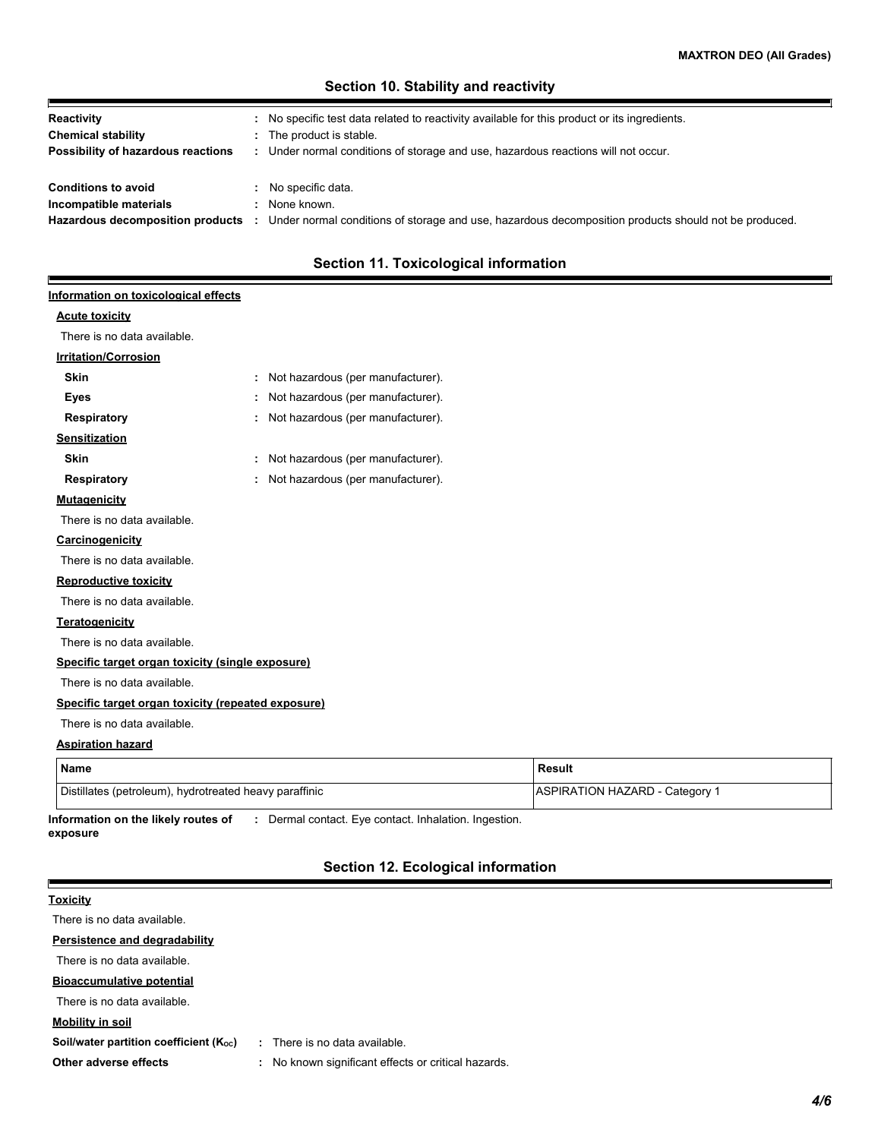# **Section 10. Stability and reactivity**

| Reactivity                         | No specific test data related to reactivity available for this product or its ingredients.           |
|------------------------------------|------------------------------------------------------------------------------------------------------|
| <b>Chemical stability</b>          | The product is stable.                                                                               |
| Possibility of hazardous reactions | Under normal conditions of storage and use, hazardous reactions will not occur.                      |
|                                    |                                                                                                      |
| <b>Conditions to avoid</b>         | No specific data.                                                                                    |
| Incompatible materials             | None known.                                                                                          |
| Hazardous decomposition products   | Under normal conditions of storage and use, hazardous decomposition products should not be produced. |

# **Section 11. Toxicological information**

# **Information on toxicological effects**

### **Acute toxicity**

Р

There is no data available.

# **Irritation/Corrosion**

| <b>Skin</b>                                        | ÷ | Not hazardous (per manufacturer). |
|----------------------------------------------------|---|-----------------------------------|
| Eyes                                               | ÷ | Not hazardous (per manufacturer). |
| Respiratory                                        | ÷ | Not hazardous (per manufacturer). |
| <b>Sensitization</b>                               |   |                                   |
| <b>Skin</b>                                        | ÷ | Not hazardous (per manufacturer). |
| <b>Respiratory</b>                                 | ÷ | Not hazardous (per manufacturer). |
| <b>Mutagenicity</b>                                |   |                                   |
| There is no data available.                        |   |                                   |
| <b>Carcinogenicity</b>                             |   |                                   |
| There is no data available.                        |   |                                   |
| <b>Reproductive toxicity</b>                       |   |                                   |
| There is no data available.                        |   |                                   |
| <b>Teratogenicity</b>                              |   |                                   |
| There is no data available.                        |   |                                   |
| Specific target organ toxicity (single exposure)   |   |                                   |
| There is no data available.                        |   |                                   |
| Specific target organ toxicity (repeated exposure) |   |                                   |
| There is no data available.                        |   |                                   |
| <b>Aspiration hazard</b>                           |   |                                   |

| <b>Name</b>                                            | Result                                |
|--------------------------------------------------------|---------------------------------------|
| Distillates (petroleum), hydrotreated heavy paraffinic | <b>ASPIRATION HAZARD - Category 1</b> |

**Information on the likely routes of exposure :** Dermal contact. Eye contact. Inhalation. Ingestion.

# **Section 12. Ecological information**

| <b>Toxicity</b>                        |                                                        |
|----------------------------------------|--------------------------------------------------------|
| There is no data available.            |                                                        |
| Persistence and degradability          |                                                        |
| There is no data available.            |                                                        |
| <b>Bioaccumulative potential</b>       |                                                        |
| There is no data available.            |                                                        |
| <b>Mobility in soil</b>                |                                                        |
| Soil/water partition coefficient (Koc) | There is no data available.<br>$\mathcal{L}$           |
| Other adverse effects                  | No known significant effects or critical hazards.<br>÷ |
|                                        |                                                        |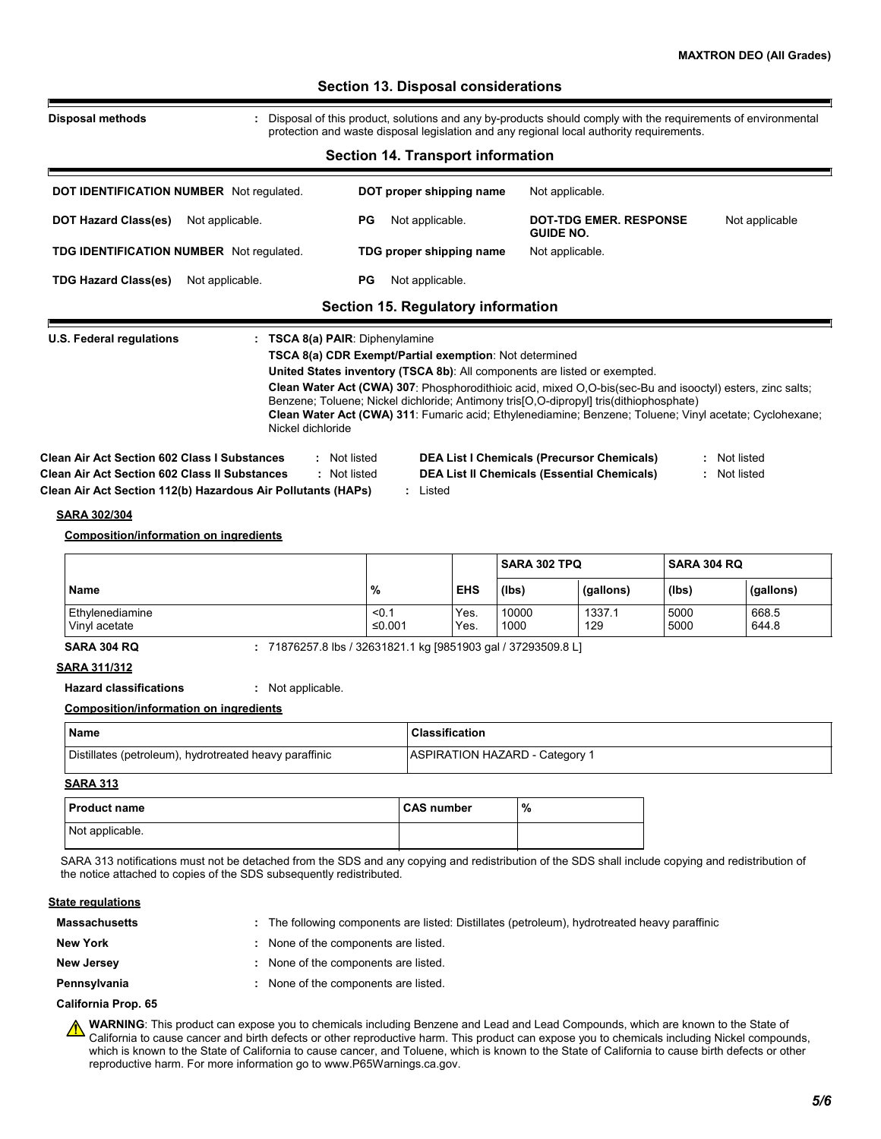| <b>Disposal methods</b>                                                                                                                                                                                                    | : Disposal of this product, solutions and any by-products should comply with the requirements of environmental                                                                                                                                                                                                                                                                                                                                                                             |                 |                                           |              |               |                                                                                                         |           |              |                              |
|----------------------------------------------------------------------------------------------------------------------------------------------------------------------------------------------------------------------------|--------------------------------------------------------------------------------------------------------------------------------------------------------------------------------------------------------------------------------------------------------------------------------------------------------------------------------------------------------------------------------------------------------------------------------------------------------------------------------------------|-----------------|-------------------------------------------|--------------|---------------|---------------------------------------------------------------------------------------------------------|-----------|--------------|------------------------------|
|                                                                                                                                                                                                                            | protection and waste disposal legislation and any regional local authority requirements.                                                                                                                                                                                                                                                                                                                                                                                                   |                 |                                           |              |               |                                                                                                         |           |              |                              |
|                                                                                                                                                                                                                            |                                                                                                                                                                                                                                                                                                                                                                                                                                                                                            |                 | <b>Section 14. Transport information</b>  |              |               |                                                                                                         |           |              |                              |
| DOT IDENTIFICATION NUMBER Not regulated.                                                                                                                                                                                   |                                                                                                                                                                                                                                                                                                                                                                                                                                                                                            |                 | DOT proper shipping name                  |              |               | Not applicable.                                                                                         |           |              |                              |
| <b>DOT Hazard Class(es)</b>                                                                                                                                                                                                | Not applicable.                                                                                                                                                                                                                                                                                                                                                                                                                                                                            | РG              | Not applicable.                           |              |               | <b>DOT-TDG EMER. RESPONSE</b><br><b>GUIDE NO.</b>                                                       |           |              | Not applicable               |
| TDG IDENTIFICATION NUMBER Not regulated.                                                                                                                                                                                   |                                                                                                                                                                                                                                                                                                                                                                                                                                                                                            |                 | TDG proper shipping name                  |              |               | Not applicable.                                                                                         |           |              |                              |
| <b>TDG Hazard Class(es)</b>                                                                                                                                                                                                | Not applicable.                                                                                                                                                                                                                                                                                                                                                                                                                                                                            | <b>PG</b>       | Not applicable.                           |              |               |                                                                                                         |           |              |                              |
|                                                                                                                                                                                                                            |                                                                                                                                                                                                                                                                                                                                                                                                                                                                                            |                 | <b>Section 15. Regulatory information</b> |              |               |                                                                                                         |           |              |                              |
| Clean Air Act Section 602 Class I Substances<br><b>Clean Air Act Section 602 Class II Substances</b><br>Clean Air Act Section 112(b) Hazardous Air Pollutants (HAPs)                                                       | TSCA 8(a) CDR Exempt/Partial exemption: Not determined<br>United States inventory (TSCA 8b): All components are listed or exempted.<br>Clean Water Act (CWA) 307: Phosphorodithioic acid, mixed O,O-bis(sec-Bu and isooctyl) esters, zinc salts;<br>Benzene; Toluene; Nickel dichloride; Antimony tris[O,O-dipropyl] tris(dithiophosphate)<br>Clean Water Act (CWA) 311: Fumaric acid; Ethylenediamine; Benzene; Toluene; Vinyl acetate; Cyclohexane;<br>Nickel dichloride<br>: Not listed | : Not listed    | : Listed                                  |              |               | <b>DEA List I Chemicals (Precursor Chemicals)</b><br><b>DEA List II Chemicals (Essential Chemicals)</b> |           |              | : Not listed<br>: Not listed |
| SARA 302/304                                                                                                                                                                                                               |                                                                                                                                                                                                                                                                                                                                                                                                                                                                                            |                 |                                           |              |               |                                                                                                         |           |              |                              |
| <b>Composition/information on ingredients</b>                                                                                                                                                                              |                                                                                                                                                                                                                                                                                                                                                                                                                                                                                            |                 |                                           |              |               |                                                                                                         |           |              |                              |
|                                                                                                                                                                                                                            |                                                                                                                                                                                                                                                                                                                                                                                                                                                                                            |                 |                                           |              |               | SARA 302 TPQ                                                                                            |           | SARA 304 RQ  |                              |
| <b>Name</b>                                                                                                                                                                                                                |                                                                                                                                                                                                                                                                                                                                                                                                                                                                                            | %               |                                           | <b>EHS</b>   | (lbs)         |                                                                                                         | (gallons) | (lbs)        | (gallons)                    |
| Ethylenediamine<br>Vinyl acetate                                                                                                                                                                                           |                                                                                                                                                                                                                                                                                                                                                                                                                                                                                            | < 0.1<br>≤0.001 |                                           | Yes.<br>Yes. | 10000<br>1000 | 1337.1<br>129                                                                                           |           | 5000<br>5000 | 668.5<br>644.8               |
| <b>SARA 304 RQ</b>                                                                                                                                                                                                         | : 71876257.8 lbs / 32631821.1 kg [9851903 gal / 37293509.8 L]                                                                                                                                                                                                                                                                                                                                                                                                                              |                 |                                           |              |               |                                                                                                         |           |              |                              |
| <b>SARA 311/312</b>                                                                                                                                                                                                        |                                                                                                                                                                                                                                                                                                                                                                                                                                                                                            |                 |                                           |              |               |                                                                                                         |           |              |                              |
| <b>Hazard classifications</b>                                                                                                                                                                                              | : Not applicable.                                                                                                                                                                                                                                                                                                                                                                                                                                                                          |                 |                                           |              |               |                                                                                                         |           |              |                              |
| <b>Composition/information on ingredients</b>                                                                                                                                                                              |                                                                                                                                                                                                                                                                                                                                                                                                                                                                                            |                 |                                           |              |               |                                                                                                         |           |              |                              |
| Name                                                                                                                                                                                                                       |                                                                                                                                                                                                                                                                                                                                                                                                                                                                                            |                 | <b>Classification</b>                     |              |               |                                                                                                         |           |              |                              |
| Distillates (petroleum), hydrotreated heavy paraffinic                                                                                                                                                                     |                                                                                                                                                                                                                                                                                                                                                                                                                                                                                            |                 |                                           |              |               | <b>ASPIRATION HAZARD - Category 1</b>                                                                   |           |              |                              |
| <b>SARA 313</b><br><b>Product name</b>                                                                                                                                                                                     |                                                                                                                                                                                                                                                                                                                                                                                                                                                                                            |                 | <b>CAS number</b>                         |              | $\%$          |                                                                                                         |           |              |                              |
| Not applicable.                                                                                                                                                                                                            |                                                                                                                                                                                                                                                                                                                                                                                                                                                                                            |                 |                                           |              |               |                                                                                                         |           |              |                              |
| SARA 313 notifications must not be detached from the SDS and any copying and redistribution of the SDS shall include copying and redistribution of<br>the notice attached to copies of the SDS subsequently redistributed. |                                                                                                                                                                                                                                                                                                                                                                                                                                                                                            |                 |                                           |              |               |                                                                                                         |           |              |                              |
| <b>State regulations</b>                                                                                                                                                                                                   |                                                                                                                                                                                                                                                                                                                                                                                                                                                                                            |                 |                                           |              |               |                                                                                                         |           |              |                              |
| <b>Massachusetts</b>                                                                                                                                                                                                       | : The following components are listed: Distillates (petroleum), hydrotreated heavy paraffinic                                                                                                                                                                                                                                                                                                                                                                                              |                 |                                           |              |               |                                                                                                         |           |              |                              |
| <b>New York</b>                                                                                                                                                                                                            | None of the components are listed.                                                                                                                                                                                                                                                                                                                                                                                                                                                         |                 |                                           |              |               |                                                                                                         |           |              |                              |
| <b>New Jersey</b>                                                                                                                                                                                                          | : None of the components are listed.                                                                                                                                                                                                                                                                                                                                                                                                                                                       |                 |                                           |              |               |                                                                                                         |           |              |                              |

**WARNING**: This product can expose you to chemicals including Benzene and Lead and Lead Compounds, which are known to the State of California to cause cancer and birth defects or other reproductive harm. This product can expose you to chemicals including Nickel compounds, which is known to the State of California to cause cancer, and Toluene, which is known to the State of California to cause birth defects or other reproductive harm. For more information go to www.P65Warnings.ca.gov.